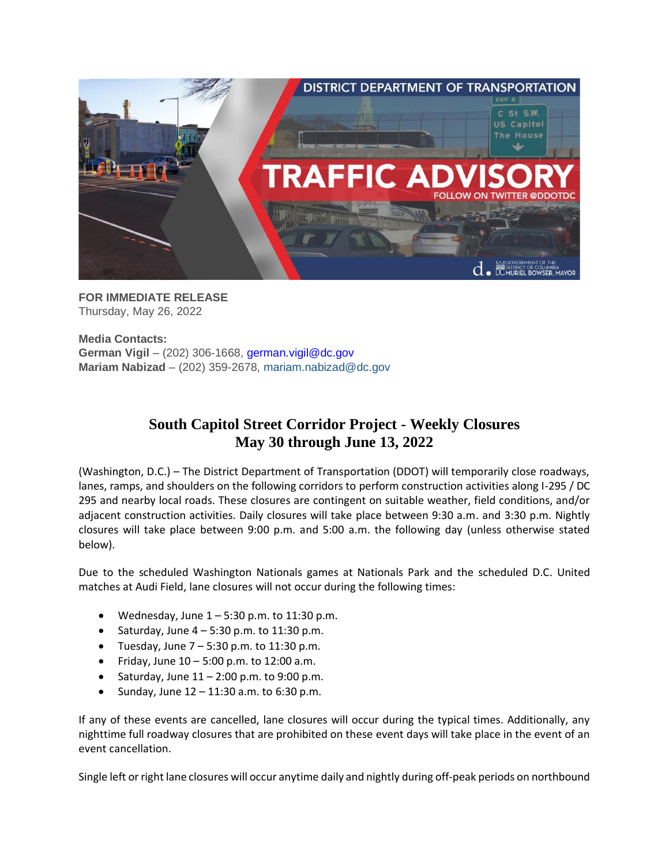

**FOR IMMEDIATE RELEASE** Thursday, May 26, 2022

**Media Contacts: German Vigil** – (202) 306-1668, [german.vigil@dc.gov](mailto:german.vigil@dc.gov) **Mariam Nabizad** – (202) 359-2678, [mariam.nabizad@dc.gov](mailto:mariam.nabizad@dc.gov)

## **South Capitol Street Corridor Project - Weekly Closures May 30 through June 13, 2022**

(Washington, D.C.) – The District Department of Transportation (DDOT) will temporarily close roadways, lanes, ramps, and shoulders on the following corridors to perform construction activities along I-295 / DC 295 and nearby local roads. These closures are contingent on suitable weather, field conditions, and/or adjacent construction activities. Daily closures will take place between 9:30 a.m. and 3:30 p.m. Nightly closures will take place between 9:00 p.m. and 5:00 a.m. the following day (unless otherwise stated below).

Due to the scheduled Washington Nationals games at Nationals Park and the scheduled D.C. United matches at Audi Field, lane closures will not occur during the following times:

- Wednesday, June  $1 5:30$  p.m. to 11:30 p.m.
- Saturday, June  $4 5:30$  p.m. to 11:30 p.m.
- Tuesday, June  $7 5:30$  p.m. to 11:30 p.m.
- Friday, June  $10 5:00$  p.m. to  $12:00$  a.m.
- Saturday, June  $11 2:00$  p.m. to 9:00 p.m.
- Sunday, June  $12 11:30$  a.m. to  $6:30$  p.m.

If any of these events are cancelled, lane closures will occur during the typical times. Additionally, any nighttime full roadway closures that are prohibited on these event days will take place in the event of an event cancellation.

Single left or right lane closures will occur anytime daily and nightly during off-peak periods on northbound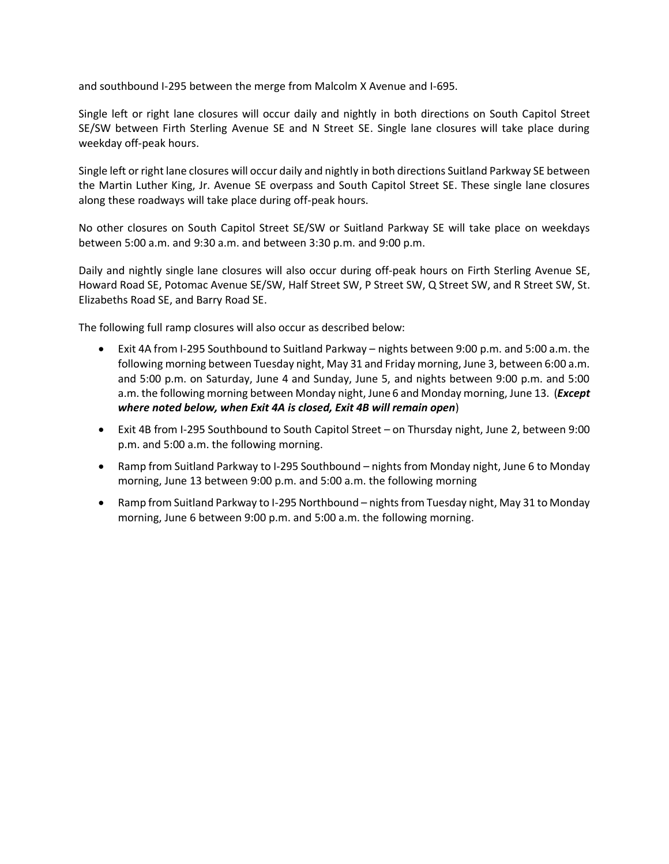and southbound I-295 between the merge from Malcolm X Avenue and I-695.

Single left or right lane closures will occur daily and nightly in both directions on South Capitol Street SE/SW between Firth Sterling Avenue SE and N Street SE. Single lane closures will take place during weekday off-peak hours.

Single left or right lane closures will occur daily and nightly in both directions Suitland Parkway SE between the Martin Luther King, Jr. Avenue SE overpass and South Capitol Street SE. These single lane closures along these roadways will take place during off-peak hours.

No other closures on South Capitol Street SE/SW or Suitland Parkway SE will take place on weekdays between 5:00 a.m. and 9:30 a.m. and between 3:30 p.m. and 9:00 p.m.

Daily and nightly single lane closures will also occur during off-peak hours on Firth Sterling Avenue SE, Howard Road SE, Potomac Avenue SE/SW, Half Street SW, P Street SW, Q Street SW, and R Street SW, St. Elizabeths Road SE, and Barry Road SE.

The following full ramp closures will also occur as described below:

- Exit 4A from I-295 Southbound to Suitland Parkway nights between 9:00 p.m. and 5:00 a.m. the following morning between Tuesday night, May 31 and Friday morning, June 3, between 6:00 a.m. and 5:00 p.m. on Saturday, June 4 and Sunday, June 5, and nights between 9:00 p.m. and 5:00 a.m. the following morning between Monday night, June 6 and Monday morning, June 13. (*Except where noted below, when Exit 4A is closed, Exit 4B will remain open*)
- Exit 4B from I-295 Southbound to South Capitol Street on Thursday night, June 2, between 9:00 p.m. and 5:00 a.m. the following morning.
- Ramp from Suitland Parkway to I-295 Southbound nights from Monday night, June 6 to Monday morning, June 13 between 9:00 p.m. and 5:00 a.m. the following morning
- Ramp from Suitland Parkway to I-295 Northbound nights from Tuesday night, May 31 to Monday morning, June 6 between 9:00 p.m. and 5:00 a.m. the following morning.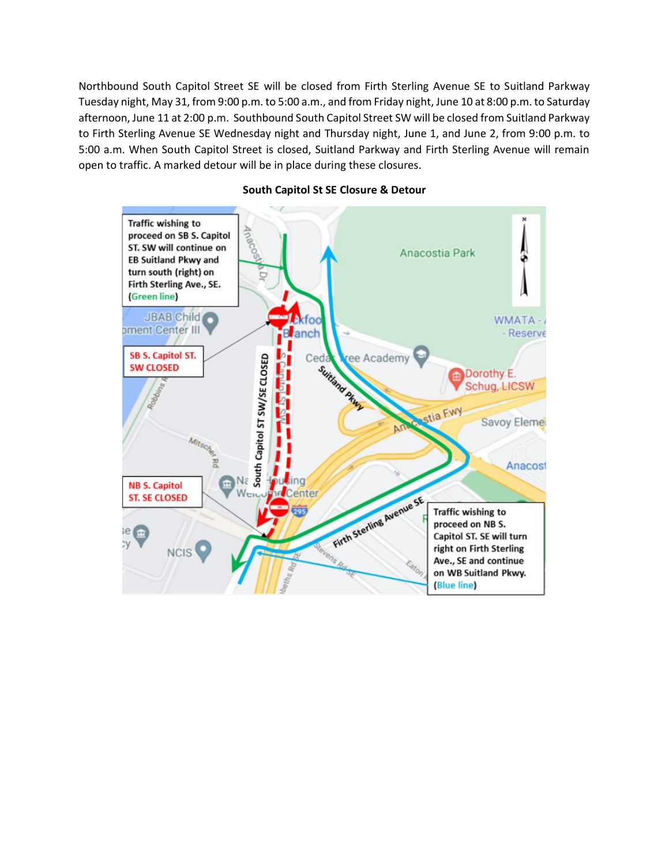Northbound South Capitol Street SE will be closed from Firth Sterling Avenue SE to Suitland Parkway Tuesday night, May 31, from 9:00 p.m. to 5:00 a.m., and from Friday night, June 10 at 8:00 p.m. to Saturday afternoon, June 11 at 2:00 p.m. Southbound South Capitol Street SW will be closed from Suitland Parkway to Firth Sterling Avenue SE Wednesday night and Thursday night, June 1, and June 2, from 9:00 p.m. to 5:00 a.m. When South Capitol Street is closed, Suitland Parkway and Firth Sterling Avenue will remain open to traffic. A marked detour will be in place during these closures.



## **South Capitol St SE Closure & Detour**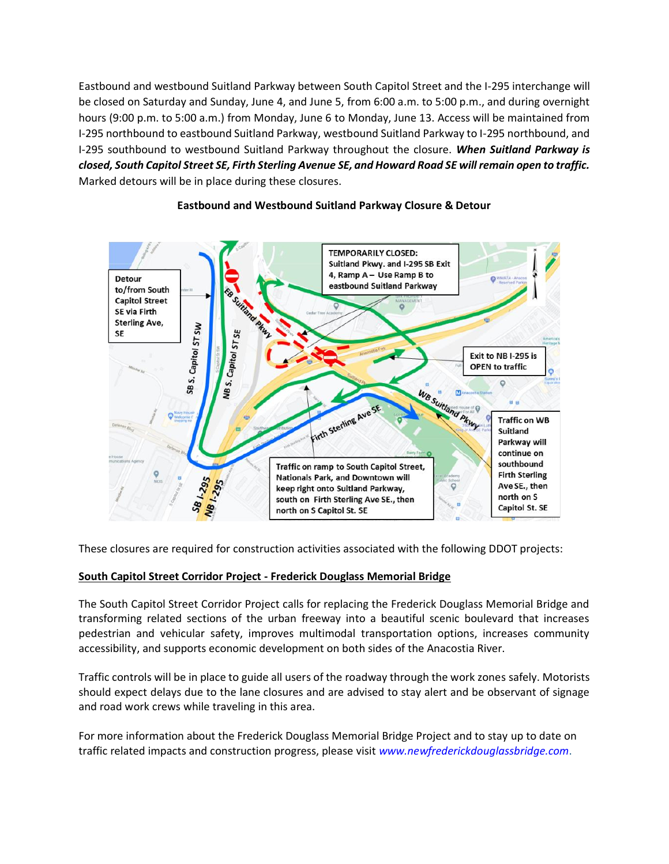Eastbound and westbound Suitland Parkway between South Capitol Street and the I-295 interchange will be closed on Saturday and Sunday, June 4, and June 5, from 6:00 a.m. to 5:00 p.m., and during overnight hours (9:00 p.m. to 5:00 a.m.) from Monday, June 6 to Monday, June 13. Access will be maintained from I-295 northbound to eastbound Suitland Parkway, westbound Suitland Parkway to I-295 northbound, and I-295 southbound to westbound Suitland Parkway throughout the closure. *When Suitland Parkway is closed, South Capitol Street SE, Firth Sterling Avenue SE, and Howard Road SE will remain open to traffic.* Marked detours will be in place during these closures.



## **Eastbound and Westbound Suitland Parkway Closure & Detour**

These closures are required for construction activities associated with the following DDOT projects:

## **South Capitol Street Corridor Project - Frederick Douglass Memorial Bridge**

The South Capitol Street Corridor Project calls for replacing the Frederick Douglass Memorial Bridge and transforming related sections of the urban freeway into a beautiful scenic boulevard that increases pedestrian and vehicular safety, improves multimodal transportation options, increases community accessibility, and supports economic development on both sides of the Anacostia River.

Traffic controls will be in place to guide all users of the roadway through the work zones safely. Motorists should expect delays due to the lane closures and are advised to stay alert and be observant of signage and road work crews while traveling in this area.

For more information about the Frederick Douglass Memorial Bridge Project and to stay up to date on traffic related impacts and construction progress, please visit *[www.newfrederickdouglassbridge.com](http://www.newfrederickdouglassbridge.com/)*.